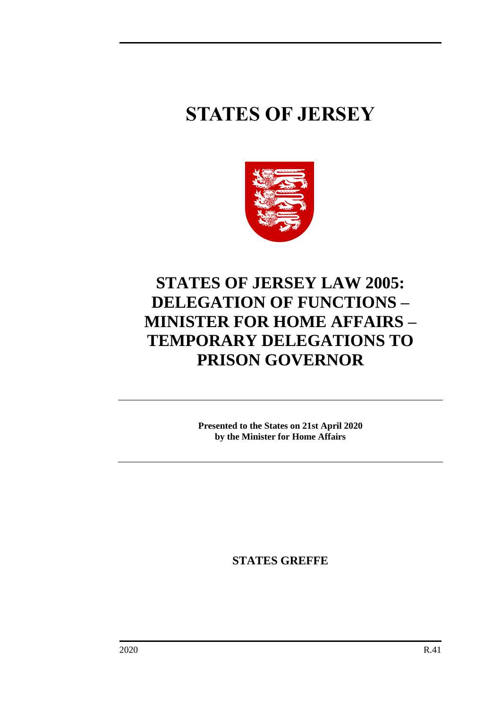# **STATES OF JERSEY**



# **STATES OF JERSEY LAW 2005: DELEGATION OF FUNCTIONS – MINISTER FOR HOME AFFAIRS – TEMPORARY DELEGATIONS TO PRISON GOVERNOR**

**Presented to the States on 21st April 2020 by the Minister for Home Affairs**

**STATES GREFFE**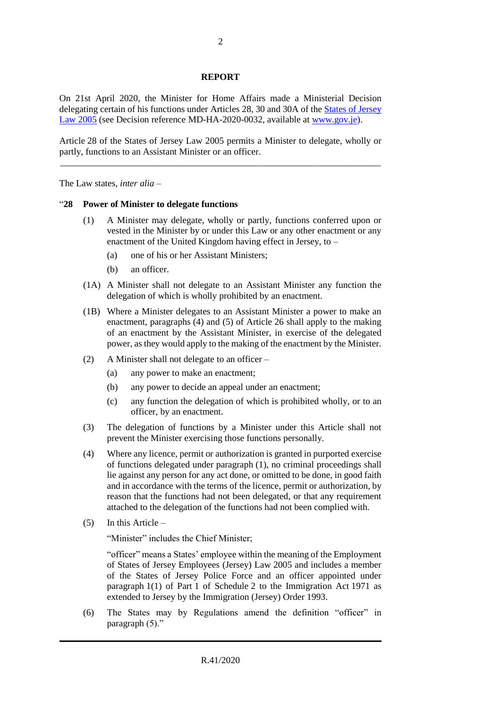#### **REPORT**

On 21st April 2020, the Minister for Home Affairs made a Ministerial Decision delegating certain of his functions under Articles 28, 30 and 30A of the [States of Jersey](https://www.jerseylaw.je/laws/revised/Pages/16.800.aspx)  [Law 2005](https://www.jerseylaw.je/laws/revised/Pages/16.800.aspx) (see Decision reference MD-HA-2020-0032, available at [www.gov.je\)](http://www.gov.je/).

Article 28 of the States of Jersey Law 2005 permits a Minister to delegate, wholly or partly, functions to an Assistant Minister or an officer. \_\_\_\_\_\_\_\_\_\_\_\_\_\_\_\_\_\_\_\_\_\_\_\_\_\_\_\_\_\_\_\_\_\_\_\_\_\_\_\_\_\_\_\_\_\_\_\_\_\_\_\_\_\_\_\_\_\_\_\_\_\_\_\_\_\_\_\_\_

The Law states, *inter alia* –

#### "**28 Power of Minister to delegate functions**

- (1) A Minister may delegate, wholly or partly, functions conferred upon or vested in the Minister by or under this Law or any other enactment or any enactment of the United Kingdom having effect in Jersey, to –
	- (a) one of his or her Assistant Ministers;
	- (b) an officer.
- (1A) A Minister shall not delegate to an Assistant Minister any function the delegation of which is wholly prohibited by an enactment.
- (1B) Where a Minister delegates to an Assistant Minister a power to make an enactment, paragraphs (4) and (5) of Article 26 shall apply to the making of an enactment by the Assistant Minister, in exercise of the delegated power, as they would apply to the making of the enactment by the Minister.
- (2) A Minister shall not delegate to an officer
	- (a) any power to make an enactment;
	- (b) any power to decide an appeal under an enactment;
	- (c) any function the delegation of which is prohibited wholly, or to an officer, by an enactment.
- (3) The delegation of functions by a Minister under this Article shall not prevent the Minister exercising those functions personally.
- (4) Where any licence, permit or authorization is granted in purported exercise of functions delegated under paragraph (1), no criminal proceedings shall lie against any person for any act done, or omitted to be done, in good faith and in accordance with the terms of the licence, permit or authorization, by reason that the functions had not been delegated, or that any requirement attached to the delegation of the functions had not been complied with.
- (5) In this Article –

"Minister" includes the Chief Minister;

"officer" means a States' employee within the meaning of the Employment of States of Jersey Employees (Jersey) Law 2005 and includes a member of the States of Jersey Police Force and an officer appointed under paragraph 1(1) of Part 1 of Schedule 2 to the Immigration Act 1971 as extended to Jersey by the Immigration (Jersey) Order 1993.

(6) The States may by Regulations amend the definition "officer" in paragraph (5)."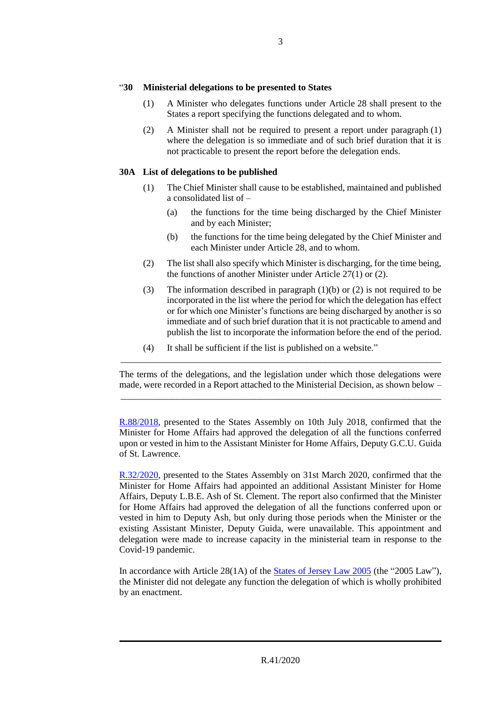#### "**30 Ministerial delegations to be presented to States**

- (1) A Minister who delegates functions under Article 28 shall present to the States a report specifying the functions delegated and to whom.
- (2) A Minister shall not be required to present a report under paragraph (1) where the delegation is so immediate and of such brief duration that it is not practicable to present the report before the delegation ends.

### **30A List of delegations to be published**

- (1) The Chief Minister shall cause to be established, maintained and published a consolidated list of –
	- (a) the functions for the time being discharged by the Chief Minister and by each Minister;
	- (b) the functions for the time being delegated by the Chief Minister and each Minister under Article 28, and to whom.
- (2) The list shall also specify which Minister is discharging, for the time being, the functions of another Minister under Article 27(1) or (2).
- (3) The information described in paragraph (1)(b) or (2) is not required to be incorporated in the list where the period for which the delegation has effect or for which one Minister's functions are being discharged by another is so immediate and of such brief duration that it is not practicable to amend and publish the list to incorporate the information before the end of the period.
- (4) It shall be sufficient if the list is published on a website."

The terms of the delegations, and the legislation under which those delegations were made, were recorded in a Report attached to the Ministerial Decision, as shown below – \_\_\_\_\_\_\_\_\_\_\_\_\_\_\_\_\_\_\_\_\_\_\_\_\_\_\_\_\_\_\_\_\_\_\_\_\_\_\_\_\_\_\_\_\_\_\_\_\_\_\_\_\_\_\_\_\_\_\_\_\_\_\_\_\_\_\_\_\_

\_\_\_\_\_\_\_\_\_\_\_\_\_\_\_\_\_\_\_\_\_\_\_\_\_\_\_\_\_\_\_\_\_\_\_\_\_\_\_\_\_\_\_\_\_\_\_\_\_\_\_\_\_\_\_\_\_\_\_\_\_\_\_\_\_\_\_\_\_

[R.88/2018,](https://statesassembly.gov.je/assemblyreports/2018/r.88-2018.pdf) presented to the States Assembly on 10th July 2018, confirmed that the Minister for Home Affairs had approved the delegation of all the functions conferred upon or vested in him to the Assistant Minister for Home Affairs, Deputy G.C.U. Guida of St. Lawrence.

[R.32/2020,](https://statesassembly.gov.je/assemblyreports/2020/r.32-2020.pdf) presented to the States Assembly on 31st March 2020, confirmed that the Minister for Home Affairs had appointed an additional Assistant Minister for Home Affairs, Deputy L.B.E. Ash of St. Clement. The report also confirmed that the Minister for Home Affairs had approved the delegation of all the functions conferred upon or vested in him to Deputy Ash, but only during those periods when the Minister or the existing Assistant Minister, Deputy Guida, were unavailable. This appointment and delegation were made to increase capacity in the ministerial team in response to the Covid-19 pandemic.

In accordance with Article 28(1A) of the [States of Jersey Law 2005](https://www.jerseylaw.je/laws/revised/Pages/16.800.aspx) (the "2005 Law"), the Minister did not delegate any function the delegation of which is wholly prohibited by an enactment.